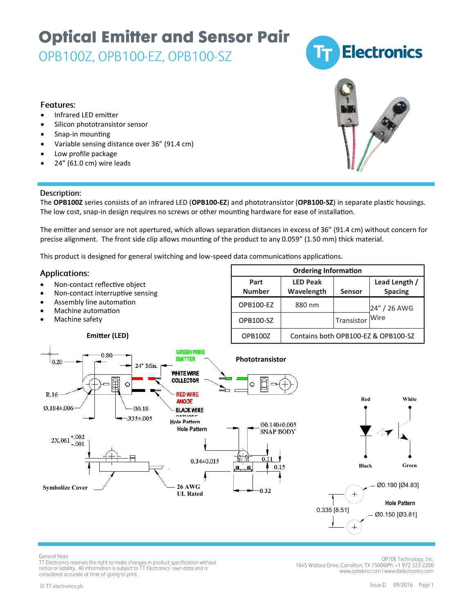## **Optical Emitter and Sensor Pair**

OPB100Z, OPB100-EZ, OPB100-SZ



#### **Features:**

- Infrared LED emitter
- Silicon phototransistor sensor
- Snap-in mounting
- Variable sensing distance over 36" (91.4 cm)
- Low profile package
- 24" (61.0 cm) wire leads

### Description:

The **OPB100Z** series consists of an infrared LED (**OPB100-EZ**) and phototransistor (**OPB100-SZ**) in separate plastic housings. The low cost, snap-in design requires no screws or other mounting hardware for ease of installation.

The emitter and sensor are not apertured, which allows separation distances in excess of 36" (91.4 cm) without concern for precise alignment. The front side clip allows mounting of the product to any 0.059" (1.50 mm) thick material.

This product is designed for general switching and low-speed data communications applications.

#### **Applications:**

- Non-contact reflective object
- Non-contact interruptive sensing

**Emitter (LED)**

- Assembly line automation
- Machine automation
- Machine safety





**General Note** 

TT Electronics reserves the right to make changes in product specification without notice or liability. All information is subject to TT Electronics' own data and is considered accurate at time of going to print.

OPTEK Technology, Inc. 1645 Wallace Drive, Carrollton, TX 75006IPh: +1 972 323 2200 www.optekinc.com | www.ttelectronics.com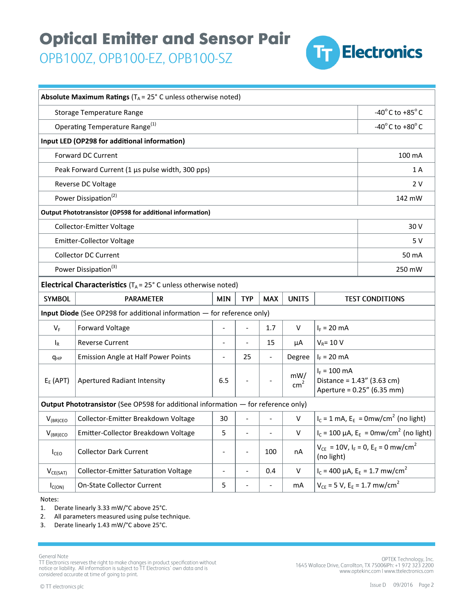## **Optical Emitter and Sensor Pair**

OPB100Z, OPB100-EZ, OPB100-SZ



| Absolute Maximum Ratings ( $T_A$ = 25° C unless otherwise noted)                   |                                             |                          |                          |                          |                        |                                                                               |                                                         |  |
|------------------------------------------------------------------------------------|---------------------------------------------|--------------------------|--------------------------|--------------------------|------------------------|-------------------------------------------------------------------------------|---------------------------------------------------------|--|
| <b>Storage Temperature Range</b>                                                   |                                             |                          |                          |                          |                        | -40 $^{\circ}$ C to +85 $^{\circ}$ C                                          |                                                         |  |
| Operating Temperature Range <sup>(1)</sup>                                         |                                             |                          |                          |                          |                        | -40 $^{\circ}$ C to +80 $^{\circ}$ C                                          |                                                         |  |
| Input LED (OP298 for additional information)                                       |                                             |                          |                          |                          |                        |                                                                               |                                                         |  |
| <b>Forward DC Current</b>                                                          |                                             |                          |                          |                          |                        |                                                                               | 100 mA                                                  |  |
| Peak Forward Current (1 µs pulse width, 300 pps)                                   |                                             |                          |                          |                          |                        |                                                                               | 1A                                                      |  |
| Reverse DC Voltage                                                                 |                                             |                          |                          |                          |                        |                                                                               | 2 V                                                     |  |
| Power Dissipation <sup>(2)</sup>                                                   |                                             |                          |                          |                          |                        |                                                                               | 142 mW                                                  |  |
| <b>Output Phototransistor (OP598 for additional information)</b>                   |                                             |                          |                          |                          |                        |                                                                               |                                                         |  |
| Collector-Emitter Voltage                                                          |                                             |                          |                          |                          |                        | 30 V                                                                          |                                                         |  |
| <b>Emitter-Collector Voltage</b>                                                   |                                             |                          |                          |                          |                        |                                                                               | 5 V                                                     |  |
| <b>Collector DC Current</b>                                                        |                                             |                          |                          |                          |                        |                                                                               | 50 mA                                                   |  |
| Power Dissipation <sup>(3)</sup>                                                   |                                             |                          |                          |                          |                        |                                                                               | 250 mW                                                  |  |
| <b>Electrical Characteristics</b> ( $T_A = 25^\circ$ C unless otherwise noted)     |                                             |                          |                          |                          |                        |                                                                               |                                                         |  |
| <b>SYMBOL</b>                                                                      | <b>PARAMETER</b>                            | <b>MIN</b>               | <b>TYP</b>               | <b>MAX</b>               | <b>UNITS</b>           | <b>TEST CONDITIONS</b>                                                        |                                                         |  |
| Input Diode (See OP298 for additional information - for reference only)            |                                             |                          |                          |                          |                        |                                                                               |                                                         |  |
| $V_F$                                                                              | Forward Voltage                             |                          |                          | 1.7                      | $\vee$                 | $I_F = 20$ mA                                                                 |                                                         |  |
| $I_R$                                                                              | <b>Reverse Current</b>                      |                          |                          | 15                       | μA                     | $V_R$ = 10 V                                                                  |                                                         |  |
| <b>q</b> <sub>HP</sub>                                                             | Emission Angle at Half Power Points         | $\overline{\phantom{a}}$ | 25                       | $\overline{\phantom{a}}$ | Degree                 | $I_F = 20$ mA                                                                 |                                                         |  |
| $E_E$ (APT)                                                                        | Apertured Radiant Intensity                 | 6.5                      |                          |                          | mW/<br>cm <sup>2</sup> | $I_F = 100$ mA<br>Distance = $1.43''$ (3.63 cm)<br>Aperture = 0.25" (6.35 mm) |                                                         |  |
| Output Phototransistor (See OP598 for additional information - for reference only) |                                             |                          |                          |                          |                        |                                                                               |                                                         |  |
| $V_{(BR)CEO}$                                                                      | Collector-Emitter Breakdown Voltage         | 30                       |                          |                          | V                      | $I_c = 1$ mA, $E_E = 0$ mw/cm <sup>2</sup> (no light)                         |                                                         |  |
| $V_{(BR)ECO}$                                                                      | Emitter-Collector Breakdown Voltage         | 5                        | $\frac{1}{2}$            | $\overline{\phantom{a}}$ | V                      | $I_c = 100 \mu A$ , $E_E = 0 m w/cm^2$ (no light)                             |                                                         |  |
| I <sub>CEO</sub>                                                                   | <b>Collector Dark Current</b>               | $\overline{a}$           |                          | 100                      | nA                     | $V_{CE} = 10V$ , $I_F = 0$ , $E_E = 0$ mw/cm <sup>2</sup><br>(no light)       |                                                         |  |
| $V_{CE(SAT)}$                                                                      | <b>Collector-Emitter Saturation Voltage</b> | $\overline{\phantom{a}}$ | $\overline{\phantom{a}}$ | 0.4                      | $\vee$                 | $I_c$ = 400 µA, $E_F$ = 1.7 mw/cm <sup>2</sup>                                |                                                         |  |
| $I_{C(ON)}$                                                                        | <b>On-State Collector Current</b>           | 5                        |                          |                          | m <sub>A</sub>         |                                                                               | $V_{CE}$ = 5 V, E <sub>E</sub> = 1.7 mw/cm <sup>2</sup> |  |

Notes:

1. Derate linearly 3.33 mW/°C above 25°C.

2. All parameters measured using pulse technique.

3. Derate linearly 1.43 mW/°C above 25°C.

General Note

Secretary<br>of Electronics reserves the right to make changes in product specification without<br>notice or liability. All information is subject to TT Electronics' own data and is considered accurate at time of going to print.

.0PTEK Technology, Inc<br>1645 Wallace Drive, Carrollton, TX 75006IPh: +1 972 323 2200 www.optekinc.com | www.ttelectronics.com